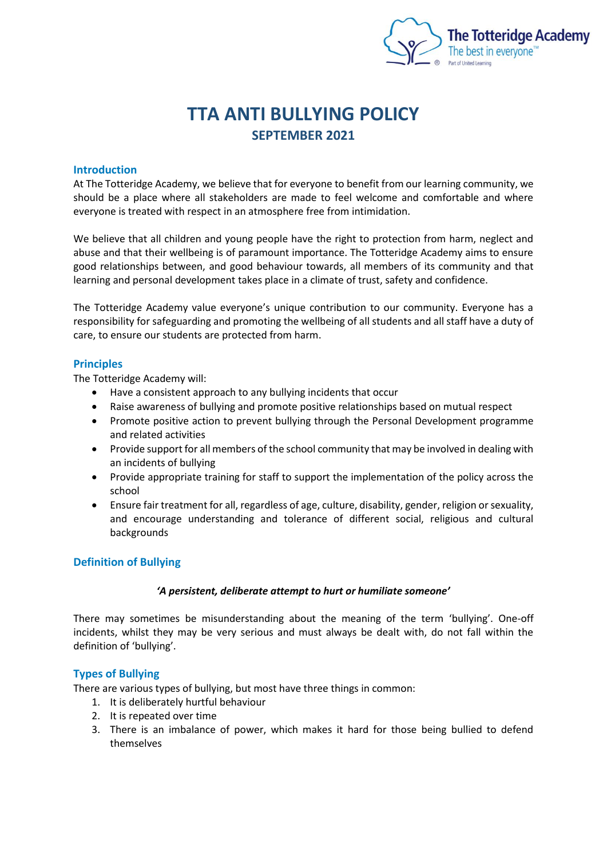

# **TTA ANTI BULLYING POLICY SEPTEMBER 2021**

### **Introduction**

At The Totteridge Academy, we believe that for everyone to benefit from our learning community, we should be a place where all stakeholders are made to feel welcome and comfortable and where everyone is treated with respect in an atmosphere free from intimidation.

We believe that all children and young people have the right to protection from harm, neglect and abuse and that their wellbeing is of paramount importance. The Totteridge Academy aims to ensure good relationships between, and good behaviour towards, all members of its community and that learning and personal development takes place in a climate of trust, safety and confidence.

The Totteridge Academy value everyone's unique contribution to our community. Everyone has a responsibility for safeguarding and promoting the wellbeing of all students and all staff have a duty of care, to ensure our students are protected from harm.

## **Principles**

The Totteridge Academy will:

- Have a consistent approach to any bullying incidents that occur
- Raise awareness of bullying and promote positive relationships based on mutual respect
- Promote positive action to prevent bullying through the Personal Development programme and related activities
- Provide support for all members of the school community that may be involved in dealing with an incidents of bullying
- Provide appropriate training for staff to support the implementation of the policy across the school
- Ensure fair treatment for all, regardless of age, culture, disability, gender, religion or sexuality, and encourage understanding and tolerance of different social, religious and cultural backgrounds

## **Definition of Bullying**

#### *'A persistent, deliberate attempt to hurt or humiliate someone'*

There may sometimes be misunderstanding about the meaning of the term 'bullying'. One-off incidents, whilst they may be very serious and must always be dealt with, do not fall within the definition of 'bullying'.

## **Types of Bullying**

There are various types of bullying, but most have three things in common:

- 1. It is deliberately hurtful behaviour
- 2. It is repeated over time
- 3. There is an imbalance of power, which makes it hard for those being bullied to defend themselves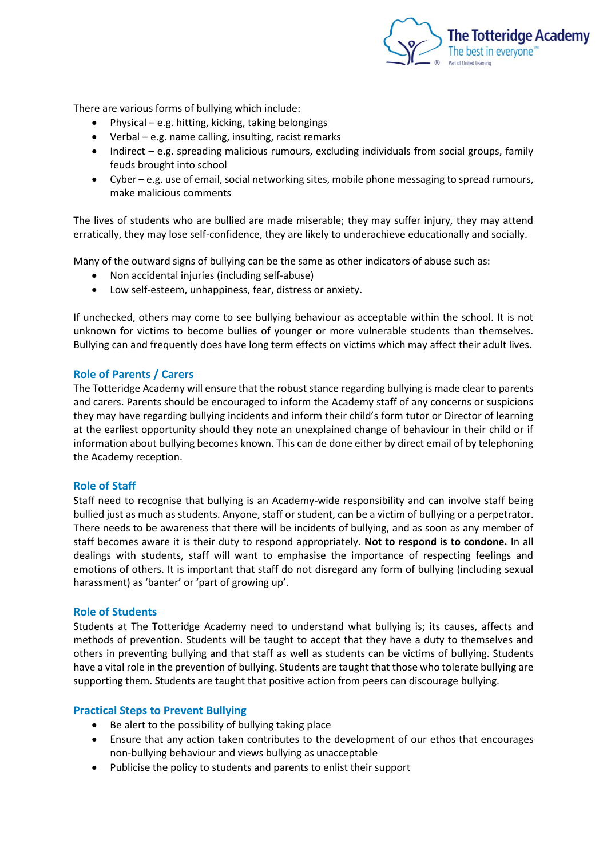

There are various forms of bullying which include:

- Physical e.g. hitting, kicking, taking belongings
- Verbal e.g. name calling, insulting, racist remarks
- Indirect e.g. spreading malicious rumours, excluding individuals from social groups, family feuds brought into school
- Cyber e.g. use of email, social networking sites, mobile phone messaging to spread rumours, make malicious comments

The lives of students who are bullied are made miserable; they may suffer injury, they may attend erratically, they may lose self-confidence, they are likely to underachieve educationally and socially.

Many of the outward signs of bullying can be the same as other indicators of abuse such as:

- Non accidental injuries (including self-abuse)
- Low self-esteem, unhappiness, fear, distress or anxiety.

If unchecked, others may come to see bullying behaviour as acceptable within the school. It is not unknown for victims to become bullies of younger or more vulnerable students than themselves. Bullying can and frequently does have long term effects on victims which may affect their adult lives.

#### **Role of Parents / Carers**

The Totteridge Academy will ensure that the robust stance regarding bullying is made clear to parents and carers. Parents should be encouraged to inform the Academy staff of any concerns or suspicions they may have regarding bullying incidents and inform their child's form tutor or Director of learning at the earliest opportunity should they note an unexplained change of behaviour in their child or if information about bullying becomes known. This can de done either by direct email of by telephoning the Academy reception.

#### **Role of Staff**

Staff need to recognise that bullying is an Academy-wide responsibility and can involve staff being bullied just as much as students. Anyone, staff or student, can be a victim of bullying or a perpetrator. There needs to be awareness that there will be incidents of bullying, and as soon as any member of staff becomes aware it is their duty to respond appropriately. **Not to respond is to condone.** In all dealings with students, staff will want to emphasise the importance of respecting feelings and emotions of others. It is important that staff do not disregard any form of bullying (including sexual harassment) as 'banter' or 'part of growing up'.

#### **Role of Students**

Students at The Totteridge Academy need to understand what bullying is; its causes, affects and methods of prevention. Students will be taught to accept that they have a duty to themselves and others in preventing bullying and that staff as well as students can be victims of bullying. Students have a vital role in the prevention of bullying. Students are taught that those who tolerate bullying are supporting them. Students are taught that positive action from peers can discourage bullying.

#### **Practical Steps to Prevent Bullying**

- Be alert to the possibility of bullying taking place
- Ensure that any action taken contributes to the development of our ethos that encourages non-bullying behaviour and views bullying as unacceptable
- Publicise the policy to students and parents to enlist their support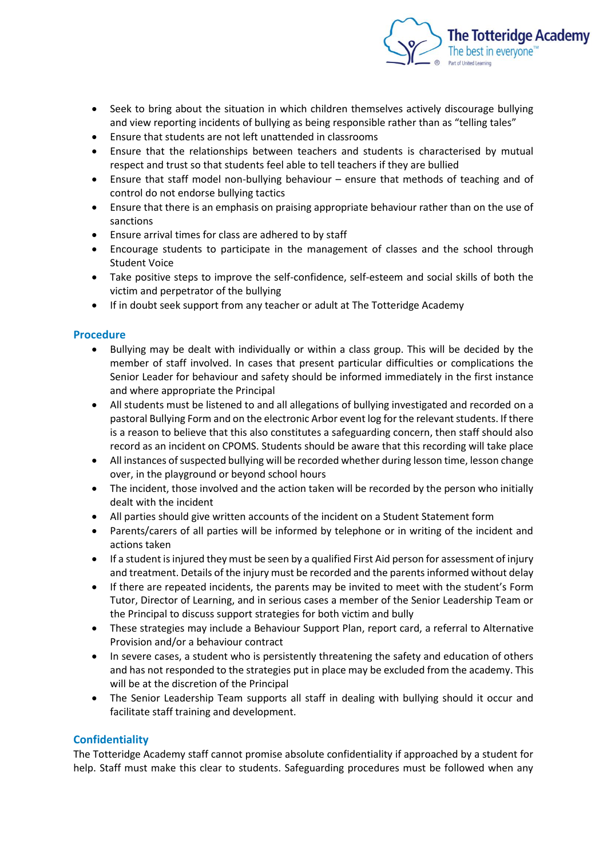

- Seek to bring about the situation in which children themselves actively discourage bullying and view reporting incidents of bullying as being responsible rather than as "telling tales"
- Ensure that students are not left unattended in classrooms
- Ensure that the relationships between teachers and students is characterised by mutual respect and trust so that students feel able to tell teachers if they are bullied
- Ensure that staff model non-bullying behaviour ensure that methods of teaching and of control do not endorse bullying tactics
- Ensure that there is an emphasis on praising appropriate behaviour rather than on the use of sanctions
- Ensure arrival times for class are adhered to by staff
- Encourage students to participate in the management of classes and the school through Student Voice
- Take positive steps to improve the self-confidence, self-esteem and social skills of both the victim and perpetrator of the bullying
- If in doubt seek support from any teacher or adult at The Totteridge Academy

# **Procedure**

- Bullying may be dealt with individually or within a class group. This will be decided by the member of staff involved. In cases that present particular difficulties or complications the Senior Leader for behaviour and safety should be informed immediately in the first instance and where appropriate the Principal
- All students must be listened to and all allegations of bullying investigated and recorded on a pastoral Bullying Form and on the electronic Arbor event log for the relevant students. If there is a reason to believe that this also constitutes a safeguarding concern, then staff should also record as an incident on CPOMS. Students should be aware that this recording will take place
- All instances of suspected bullying will be recorded whether during lesson time, lesson change over, in the playground or beyond school hours
- The incident, those involved and the action taken will be recorded by the person who initially dealt with the incident
- All parties should give written accounts of the incident on a Student Statement form
- Parents/carers of all parties will be informed by telephone or in writing of the incident and actions taken
- If a student is injured they must be seen by a qualified First Aid person for assessment of injury and treatment. Details of the injury must be recorded and the parents informed without delay
- If there are repeated incidents, the parents may be invited to meet with the student's Form Tutor, Director of Learning, and in serious cases a member of the Senior Leadership Team or the Principal to discuss support strategies for both victim and bully
- These strategies may include a Behaviour Support Plan, report card, a referral to Alternative Provision and/or a behaviour contract
- In severe cases, a student who is persistently threatening the safety and education of others and has not responded to the strategies put in place may be excluded from the academy. This will be at the discretion of the Principal
- The Senior Leadership Team supports all staff in dealing with bullying should it occur and facilitate staff training and development.

## **Confidentiality**

The Totteridge Academy staff cannot promise absolute confidentiality if approached by a student for help. Staff must make this clear to students. Safeguarding procedures must be followed when any